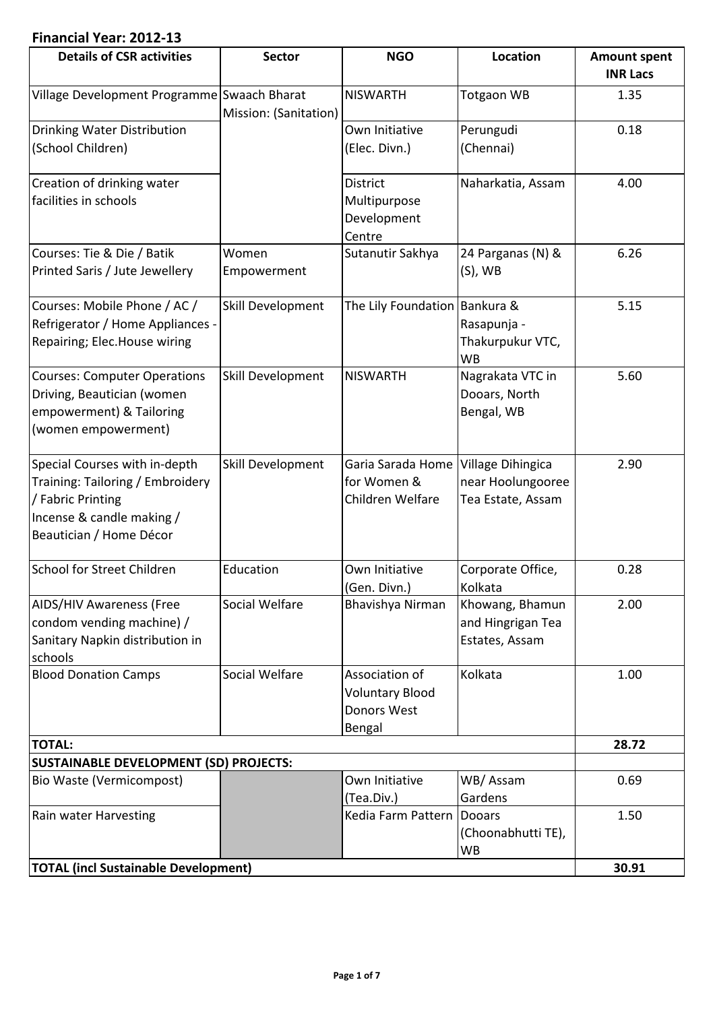# **Financial Year: 2012-13**

| <b>Details of CSR activities</b>                                                                                                               | <b>Sector</b>         | <b>NGO</b>                                                               | Location                                               | <b>Amount spent</b><br><b>INR Lacs</b> |
|------------------------------------------------------------------------------------------------------------------------------------------------|-----------------------|--------------------------------------------------------------------------|--------------------------------------------------------|----------------------------------------|
| Village Development Programme Swaach Bharat                                                                                                    | Mission: (Sanitation) | <b>NISWARTH</b>                                                          | <b>Totgaon WB</b>                                      | 1.35                                   |
| <b>Drinking Water Distribution</b><br>(School Children)                                                                                        |                       | Own Initiative<br>(Elec. Divn.)                                          | Perungudi<br>(Chennai)                                 | 0.18                                   |
| Creation of drinking water<br>facilities in schools                                                                                            |                       | <b>District</b><br>Multipurpose<br>Development<br>Centre                 | Naharkatia, Assam                                      | 4.00                                   |
| Courses: Tie & Die / Batik<br>Printed Saris / Jute Jewellery                                                                                   | Women<br>Empowerment  | Sutanutir Sakhya                                                         | 24 Parganas (N) &<br>$(S)$ , WB                        | 6.26                                   |
| Courses: Mobile Phone / AC /<br>Refrigerator / Home Appliances -<br>Repairing; Elec.House wiring                                               | Skill Development     | The Lily Foundation   Bankura &                                          | Rasapunja -<br>Thakurpukur VTC,<br><b>WB</b>           | 5.15                                   |
| <b>Courses: Computer Operations</b><br>Driving, Beautician (women<br>empowerment) & Tailoring<br>(women empowerment)                           | Skill Development     | <b>NISWARTH</b>                                                          | Nagrakata VTC in<br>Dooars, North<br>Bengal, WB        | 5.60                                   |
| Special Courses with in-depth<br>Training: Tailoring / Embroidery<br>/ Fabric Printing<br>Incense & candle making /<br>Beautician / Home Décor | Skill Development     | Garia Sarada Home   Village Dihingica<br>for Women &<br>Children Welfare | near Hoolungooree<br>Tea Estate, Assam                 | 2.90                                   |
| <b>School for Street Children</b>                                                                                                              | Education             | Own Initiative<br>(Gen. Divn.)                                           | Corporate Office,<br>Kolkata                           | 0.28                                   |
| <b>AIDS/HIV Awareness (Free</b><br>condom vending machine) /<br>Sanitary Napkin distribution in<br>schools                                     | Social Welfare        | Bhavishya Nirman                                                         | Khowang, Bhamun<br>and Hingrigan Tea<br>Estates, Assam | 2.00                                   |
| <b>Blood Donation Camps</b>                                                                                                                    | Social Welfare        | Association of<br><b>Voluntary Blood</b><br>Donors West<br>Bengal        | Kolkata                                                | 1.00                                   |
| <b>TOTAL:</b>                                                                                                                                  |                       |                                                                          |                                                        | 28.72                                  |
| <b>SUSTAINABLE DEVELOPMENT (SD) PROJECTS:</b>                                                                                                  |                       |                                                                          |                                                        |                                        |
| Bio Waste (Vermicompost)                                                                                                                       |                       | Own Initiative<br>(Tea.Div.)                                             | WB/Assam<br>Gardens                                    | 0.69                                   |
| Rain water Harvesting                                                                                                                          |                       | Kedia Farm Pattern Dooars                                                | (Choonabhutti TE),<br>WB                               | 1.50                                   |
| <b>TOTAL (incl Sustainable Development)</b>                                                                                                    |                       |                                                                          |                                                        | 30.91                                  |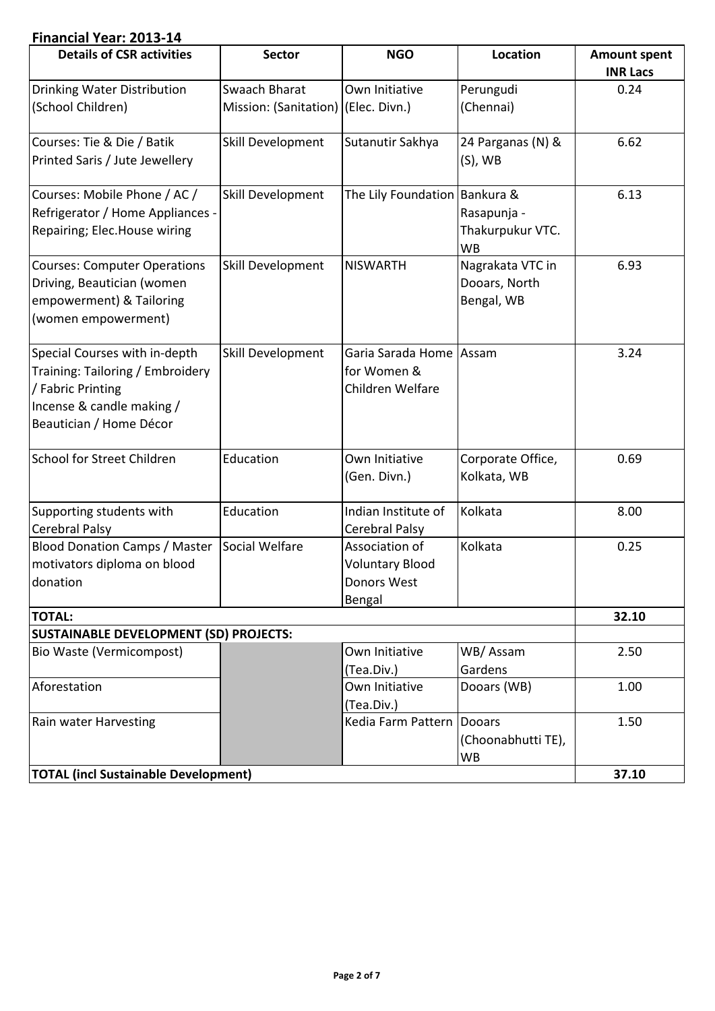### **Financial Year: 2013-14**

| <b>Details of CSR activities</b>                                                                                                               | <b>Sector</b>                       | <b>NGO</b>                                                        | Location                                        | <b>Amount spent</b><br><b>INR Lacs</b> |
|------------------------------------------------------------------------------------------------------------------------------------------------|-------------------------------------|-------------------------------------------------------------------|-------------------------------------------------|----------------------------------------|
| <b>Drinking Water Distribution</b>                                                                                                             | Swaach Bharat                       | Own Initiative                                                    | Perungudi                                       | 0.24                                   |
| (School Children)                                                                                                                              | Mission: (Sanitation) (Elec. Divn.) |                                                                   | (Chennai)                                       |                                        |
| Courses: Tie & Die / Batik<br>Printed Saris / Jute Jewellery                                                                                   | Skill Development                   | Sutanutir Sakhya                                                  | 24 Parganas (N) &<br>$(S)$ , WB                 | 6.62                                   |
| Courses: Mobile Phone / AC /<br>Refrigerator / Home Appliances -<br>Repairing; Elec.House wiring                                               | Skill Development                   | The Lily Foundation Bankura &                                     | Rasapunja -<br>Thakurpukur VTC.<br><b>WB</b>    | 6.13                                   |
| <b>Courses: Computer Operations</b><br>Driving, Beautician (women<br>empowerment) & Tailoring<br>(women empowerment)                           | Skill Development                   | <b>NISWARTH</b>                                                   | Nagrakata VTC in<br>Dooars, North<br>Bengal, WB | 6.93                                   |
| Special Courses with in-depth<br>Training: Tailoring / Embroidery<br>/ Fabric Printing<br>Incense & candle making /<br>Beautician / Home Décor | Skill Development                   | Garia Sarada Home Assam<br>for Women &<br>Children Welfare        |                                                 | 3.24                                   |
| <b>School for Street Children</b>                                                                                                              | Education                           | Own Initiative<br>(Gen. Divn.)                                    | Corporate Office,<br>Kolkata, WB                | 0.69                                   |
| Supporting students with<br><b>Cerebral Palsy</b>                                                                                              | Education                           | Indian Institute of<br>Cerebral Palsy                             | Kolkata                                         | 8.00                                   |
| <b>Blood Donation Camps / Master</b><br>motivators diploma on blood<br>donation                                                                | Social Welfare                      | Association of<br><b>Voluntary Blood</b><br>Donors West<br>Bengal | Kolkata                                         | 0.25                                   |
| <b>TOTAL:</b>                                                                                                                                  |                                     |                                                                   |                                                 | 32.10                                  |
| <b>SUSTAINABLE DEVELOPMENT (SD) PROJECTS:</b>                                                                                                  |                                     |                                                                   |                                                 |                                        |
| Bio Waste (Vermicompost)                                                                                                                       |                                     | Own Initiative<br>(Tea.Div.)                                      | WB/Assam<br>Gardens                             | 2.50                                   |
| Aforestation                                                                                                                                   |                                     | Own Initiative<br>(Tea.Div.)                                      | Dooars (WB)                                     | 1.00                                   |
| Rain water Harvesting                                                                                                                          |                                     | Kedia Farm Pattern   Dooars                                       | (Choonabhutti TE),<br>WB                        | 1.50                                   |
| <b>TOTAL (incl Sustainable Development)</b>                                                                                                    |                                     |                                                                   |                                                 | 37.10                                  |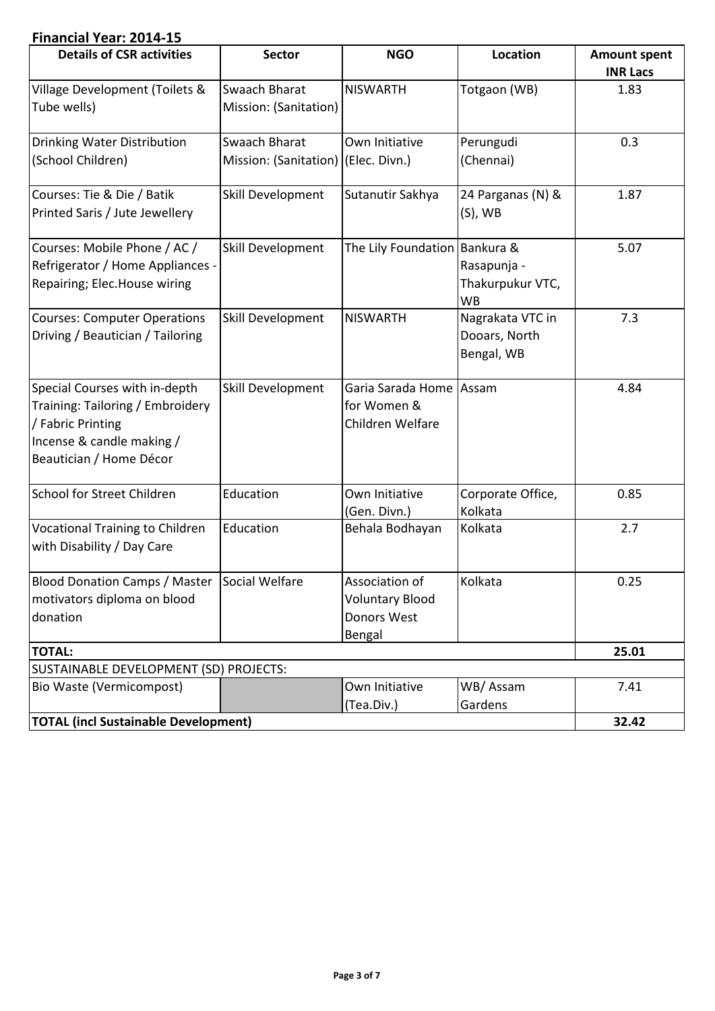## **Financial Year: 2014-15**

| <b>Details of CSR activities</b>             | <b>Sector</b>                       | <b>NGO</b>                      | Location                      | <b>Amount spent</b> |
|----------------------------------------------|-------------------------------------|---------------------------------|-------------------------------|---------------------|
|                                              |                                     |                                 |                               | <b>INR Lacs</b>     |
| <b>Village Development (Toilets &amp;</b>    | <b>Swaach Bharat</b>                | <b>NISWARTH</b>                 | Totgaon (WB)                  | 1.83                |
| Tube wells)                                  | Mission: (Sanitation)               |                                 |                               |                     |
| <b>Drinking Water Distribution</b>           | Swaach Bharat                       | Own Initiative                  | Perungudi                     | 0.3                 |
| (School Children)                            | Mission: (Sanitation) (Elec. Divn.) |                                 | (Chennai)                     |                     |
| Courses: Tie & Die / Batik                   | Skill Development                   | Sutanutir Sakhya                | 24 Parganas (N) &             | 1.87                |
| Printed Saris / Jute Jewellery               |                                     |                                 | $(S)$ , WB                    |                     |
| Courses: Mobile Phone / AC /                 | Skill Development                   | The Lily Foundation   Bankura & |                               | 5.07                |
| Refrigerator / Home Appliances -             |                                     |                                 | Rasapunja -                   |                     |
| Repairing; Elec.House wiring                 |                                     |                                 | Thakurpukur VTC,<br><b>WB</b> |                     |
| <b>Courses: Computer Operations</b>          | Skill Development                   | <b>NISWARTH</b>                 | Nagrakata VTC in              | 7.3                 |
| Driving / Beautician / Tailoring             |                                     |                                 | Dooars, North                 |                     |
|                                              |                                     |                                 | Bengal, WB                    |                     |
| Special Courses with in-depth                | Skill Development                   | Garia Sarada Home Assam         |                               | 4.84                |
| Training: Tailoring / Embroidery             |                                     | for Women &                     |                               |                     |
| / Fabric Printing                            |                                     | Children Welfare                |                               |                     |
| Incense & candle making /                    |                                     |                                 |                               |                     |
| Beautician / Home Décor                      |                                     |                                 |                               |                     |
| <b>School for Street Children</b>            | Education                           | Own Initiative                  | Corporate Office,             | 0.85                |
|                                              |                                     | (Gen. Divn.)                    | Kolkata                       |                     |
| <b>Vocational Training to Children</b>       | Education                           | Behala Bodhayan                 | Kolkata                       | 2.7                 |
| with Disability / Day Care                   |                                     |                                 |                               |                     |
| Blood Donation Camps / Master Social Welfare |                                     | Association of                  | Kolkata                       | 0.25                |
| motivators diploma on blood                  |                                     | <b>Voluntary Blood</b>          |                               |                     |
| donation                                     |                                     | Donors West                     |                               |                     |
|                                              |                                     | Bengal                          |                               |                     |
| <b>TOTAL:</b>                                |                                     |                                 |                               | 25.01               |
| SUSTAINABLE DEVELOPMENT (SD) PROJECTS:       |                                     |                                 |                               |                     |
| Bio Waste (Vermicompost)                     |                                     | Own Initiative                  | WB/Assam                      | 7.41                |
|                                              |                                     | (Tea.Div.)                      | Gardens                       |                     |
| <b>TOTAL (incl Sustainable Development)</b>  |                                     |                                 |                               | 32.42               |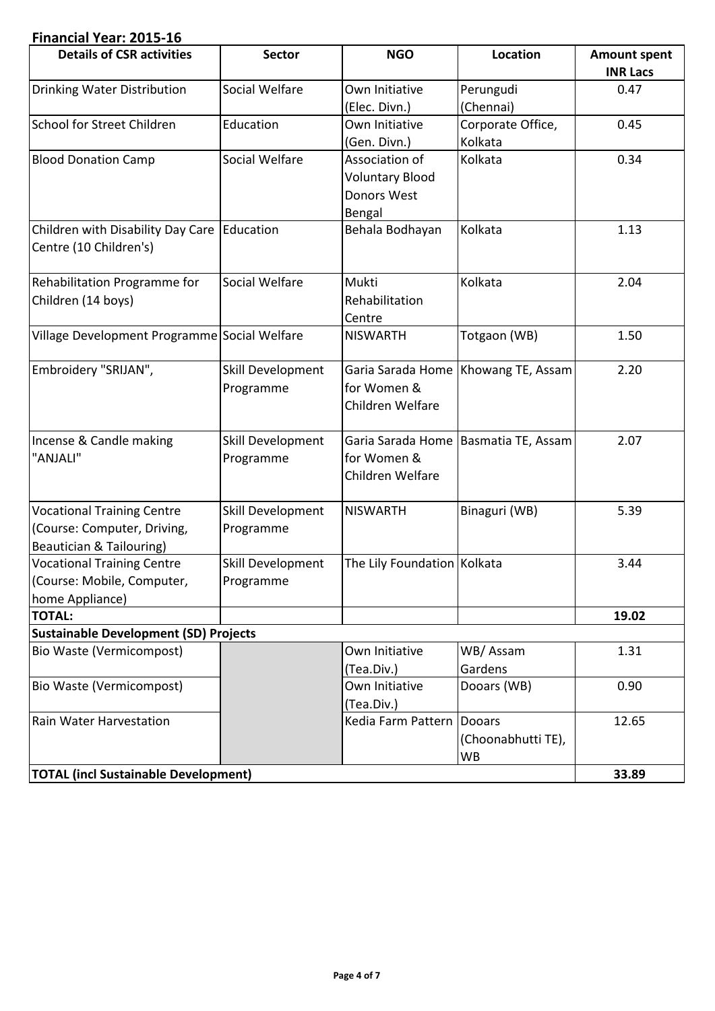### **Financial Year: 2015-16**

| <b>Details of CSR activities</b>             | <b>Sector</b>     | <b>NGO</b>                    | Location                              | <b>Amount spent</b> |
|----------------------------------------------|-------------------|-------------------------------|---------------------------------------|---------------------|
|                                              |                   |                               |                                       | <b>INR Lacs</b>     |
| <b>Drinking Water Distribution</b>           | Social Welfare    | Own Initiative                | Perungudi                             | 0.47                |
|                                              |                   | (Elec. Divn.)                 | (Chennai)                             |                     |
| School for Street Children                   | Education         | Own Initiative                | Corporate Office,                     | 0.45                |
|                                              |                   | (Gen. Divn.)                  | Kolkata                               |                     |
| <b>Blood Donation Camp</b>                   | Social Welfare    | Association of                | Kolkata                               | 0.34                |
|                                              |                   | <b>Voluntary Blood</b>        |                                       |                     |
|                                              |                   | Donors West                   |                                       |                     |
|                                              |                   | Bengal                        |                                       |                     |
| Children with Disability Day Care Education  |                   | Behala Bodhayan               | Kolkata                               | 1.13                |
| Centre (10 Children's)                       |                   |                               |                                       |                     |
|                                              |                   |                               |                                       |                     |
| Rehabilitation Programme for                 | Social Welfare    | Mukti                         | Kolkata                               | 2.04                |
| Children (14 boys)                           |                   | Rehabilitation                |                                       |                     |
|                                              |                   | Centre                        |                                       |                     |
| Village Development Programme Social Welfare |                   | <b>NISWARTH</b>               | Totgaon (WB)                          | 1.50                |
|                                              |                   |                               |                                       |                     |
| Embroidery "SRIJAN",                         | Skill Development |                               | Garia Sarada Home   Khowang TE, Assam | 2.20                |
|                                              | Programme         | for Women &                   |                                       |                     |
|                                              |                   | Children Welfare              |                                       |                     |
|                                              |                   |                               |                                       |                     |
| Incense & Candle making                      | Skill Development |                               | Garia Sarada Home Basmatia TE, Assam  | 2.07                |
| "ANJALI"                                     | Programme         | for Women &                   |                                       |                     |
|                                              |                   | Children Welfare              |                                       |                     |
|                                              |                   |                               |                                       |                     |
| <b>Vocational Training Centre</b>            | Skill Development | <b>NISWARTH</b>               | Binaguri (WB)                         | 5.39                |
| (Course: Computer, Driving,                  | Programme         |                               |                                       |                     |
| Beautician & Tailouring)                     |                   |                               |                                       |                     |
| <b>Vocational Training Centre</b>            | Skill Development | The Lily Foundation   Kolkata |                                       | 3.44                |
| (Course: Mobile, Computer,                   | Programme         |                               |                                       |                     |
| home Appliance)                              |                   |                               |                                       |                     |
| <b>TOTAL:</b>                                |                   |                               |                                       | 19.02               |
| <b>Sustainable Development (SD) Projects</b> |                   |                               |                                       |                     |
| Bio Waste (Vermicompost)                     |                   | Own Initiative                | WB/Assam                              | 1.31                |
|                                              |                   | (Tea.Div.)                    | Gardens                               |                     |
| Bio Waste (Vermicompost)                     |                   | Own Initiative                | Dooars (WB)                           | 0.90                |
|                                              |                   | (Tea.Div.)                    |                                       |                     |
| Rain Water Harvestation                      |                   | Kedia Farm Pattern   Dooars   |                                       | 12.65               |
|                                              |                   |                               | (Choonabhutti TE),                    |                     |
|                                              |                   |                               | WB                                    |                     |
| <b>TOTAL (incl Sustainable Development)</b>  |                   |                               |                                       | 33.89               |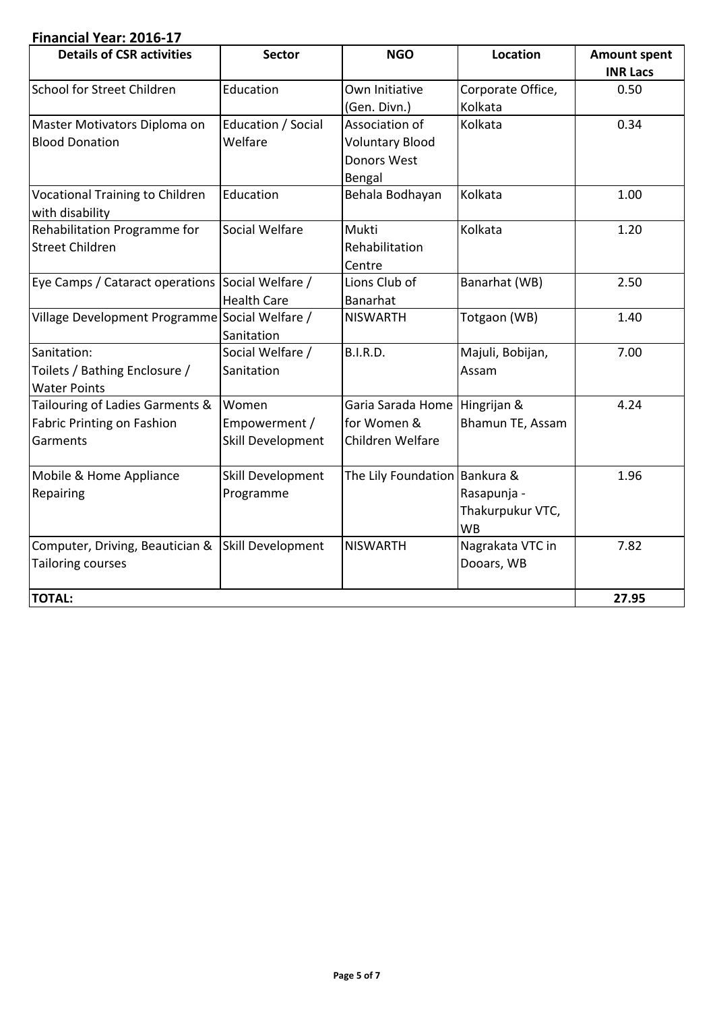## **Financial Year: 2016-17**

| <b>Details of CSR activities</b>                                                 | <b>Sector</b>                               | <b>NGO</b>                                                               | <b>Location</b>                              | <b>Amount spent</b><br><b>INR Lacs</b> |
|----------------------------------------------------------------------------------|---------------------------------------------|--------------------------------------------------------------------------|----------------------------------------------|----------------------------------------|
| School for Street Children                                                       | Education                                   | Own Initiative<br>(Gen. Divn.)                                           | Corporate Office,<br>Kolkata                 | 0.50                                   |
| Master Motivators Diploma on<br><b>Blood Donation</b>                            | Education / Social<br>Welfare               | Association of<br><b>Voluntary Blood</b><br><b>Donors West</b><br>Bengal | Kolkata                                      | 0.34                                   |
| <b>Vocational Training to Children</b><br>with disability                        | Education                                   | Behala Bodhayan                                                          | Kolkata                                      | 1.00                                   |
| Rehabilitation Programme for<br><b>Street Children</b>                           | Social Welfare                              | Mukti<br>Rehabilitation<br>Centre                                        | Kolkata                                      | 1.20                                   |
| Eye Camps / Cataract operations Social Welfare /                                 | <b>Health Care</b>                          | Lions Club of<br>Banarhat                                                | Banarhat (WB)                                | 2.50                                   |
| Village Development Programme Social Welfare /                                   | Sanitation                                  | <b>NISWARTH</b>                                                          | Totgaon (WB)                                 | 1.40                                   |
| Sanitation:<br>Toilets / Bathing Enclosure /<br><b>Water Points</b>              | Social Welfare /<br>Sanitation              | B.I.R.D.                                                                 | Majuli, Bobijan,<br>Assam                    | 7.00                                   |
| Tailouring of Ladies Garments &<br><b>Fabric Printing on Fashion</b><br>Garments | Women<br>Empowerment /<br>Skill Development | Garia Sarada Home Hingrijan &<br>for Women &<br>Children Welfare         | Bhamun TE, Assam                             | 4.24                                   |
| Mobile & Home Appliance<br>Repairing                                             | Skill Development<br>Programme              | The Lily Foundation   Bankura &                                          | Rasapunja -<br>Thakurpukur VTC,<br><b>WB</b> | 1.96                                   |
| Computer, Driving, Beautician &<br><b>Tailoring courses</b>                      | Skill Development                           | <b>NISWARTH</b>                                                          | Nagrakata VTC in<br>Dooars, WB               | 7.82                                   |
| <b>TOTAL:</b>                                                                    |                                             |                                                                          |                                              | 27.95                                  |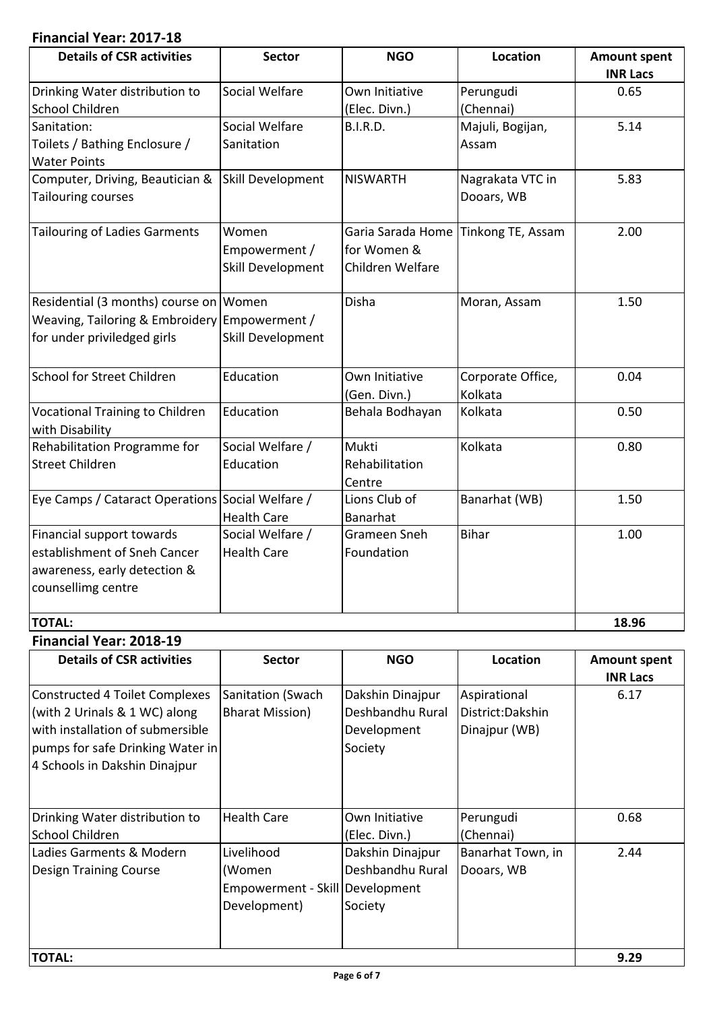# **Financial Year: 2017-18**

| <b>Details of CSR activities</b>                          | <b>Sector</b>      | <b>NGO</b>                          | Location          | <b>Amount spent</b> |
|-----------------------------------------------------------|--------------------|-------------------------------------|-------------------|---------------------|
|                                                           |                    |                                     |                   | <b>INR Lacs</b>     |
| Drinking Water distribution to                            | Social Welfare     | Own Initiative                      | Perungudi         | 0.65                |
| School Children                                           |                    | (Elec. Divn.)                       | (Chennai)         |                     |
| Sanitation:                                               | Social Welfare     | <b>B.I.R.D.</b>                     | Majuli, Bogijan,  | 5.14                |
| Toilets / Bathing Enclosure /                             | Sanitation         |                                     | Assam             |                     |
| <b>Water Points</b>                                       |                    |                                     |                   |                     |
| Computer, Driving, Beautician &                           | Skill Development  | <b>NISWARTH</b>                     | Nagrakata VTC in  | 5.83                |
| <b>Tailouring courses</b>                                 |                    |                                     | Dooars, WB        |                     |
| <b>Tailouring of Ladies Garments</b>                      | Women              | Garia Sarada Home Tinkong TE, Assam |                   | 2.00                |
|                                                           | Empowerment /      | for Women &                         |                   |                     |
|                                                           | Skill Development  | Children Welfare                    |                   |                     |
| Residential (3 months) course on Women                    |                    | Disha                               | Moran, Assam      | 1.50                |
| Weaving, Tailoring & Embroidery Empowerment /             |                    |                                     |                   |                     |
| for under priviledged girls                               | Skill Development  |                                     |                   |                     |
| <b>School for Street Children</b>                         | Education          | Own Initiative                      | Corporate Office, | 0.04                |
|                                                           |                    | (Gen. Divn.)                        | Kolkata           |                     |
| <b>Vocational Training to Children</b><br>with Disability | Education          | Behala Bodhayan                     | Kolkata           | 0.50                |
| Rehabilitation Programme for                              | Social Welfare /   | Mukti                               | Kolkata           | 0.80                |
| <b>Street Children</b>                                    | Education          | Rehabilitation                      |                   |                     |
|                                                           |                    | Centre                              |                   |                     |
| Eye Camps / Cataract Operations Social Welfare /          |                    | Lions Club of                       | Banarhat (WB)     | 1.50                |
|                                                           | <b>Health Care</b> | Banarhat                            |                   |                     |
| Financial support towards                                 | Social Welfare /   | <b>Grameen Sneh</b>                 | Bihar             | 1.00                |
| establishment of Sneh Cancer                              | <b>Health Care</b> | Foundation                          |                   |                     |
| awareness, early detection &                              |                    |                                     |                   |                     |
| counsellimg centre                                        |                    |                                     |                   |                     |
|                                                           |                    |                                     |                   |                     |
| <b>TOTAL:</b>                                             |                    |                                     |                   | 18.96               |

#### **Financial Year: 2018-19**

| <b>Details of CSR activities</b> | <b>Sector</b>                   | <b>NGO</b>       | Location          | <b>Amount spent</b> |
|----------------------------------|---------------------------------|------------------|-------------------|---------------------|
|                                  |                                 |                  |                   | <b>INR Lacs</b>     |
| Constructed 4 Toilet Complexes   | Sanitation (Swach               | Dakshin Dinajpur | Aspirational      | 6.17                |
| (with 2 Urinals & 1 WC) along    | <b>Bharat Mission)</b>          | Deshbandhu Rural | District: Dakshin |                     |
| with installation of submersible |                                 | Development      | Dinajpur (WB)     |                     |
| pumps for safe Drinking Water in |                                 | Society          |                   |                     |
| 4 Schools in Dakshin Dinajpur    |                                 |                  |                   |                     |
|                                  |                                 |                  |                   |                     |
|                                  |                                 |                  |                   |                     |
| Drinking Water distribution to   | <b>Health Care</b>              | Own Initiative   | Perungudi         | 0.68                |
| School Children                  |                                 | (Elec. Divn.)    | (Chennai)         |                     |
| Ladies Garments & Modern         | Livelihood                      | Dakshin Dinajpur | Banarhat Town, in | 2.44                |
| Design Training Course           | (Women                          | Deshbandhu Rural | Dooars, WB        |                     |
|                                  | Empowerment - Skill Development |                  |                   |                     |
|                                  | Development)                    | Society          |                   |                     |
|                                  |                                 |                  |                   |                     |
|                                  |                                 |                  |                   |                     |
| <b>TOTAL:</b>                    |                                 |                  |                   | 9.29                |